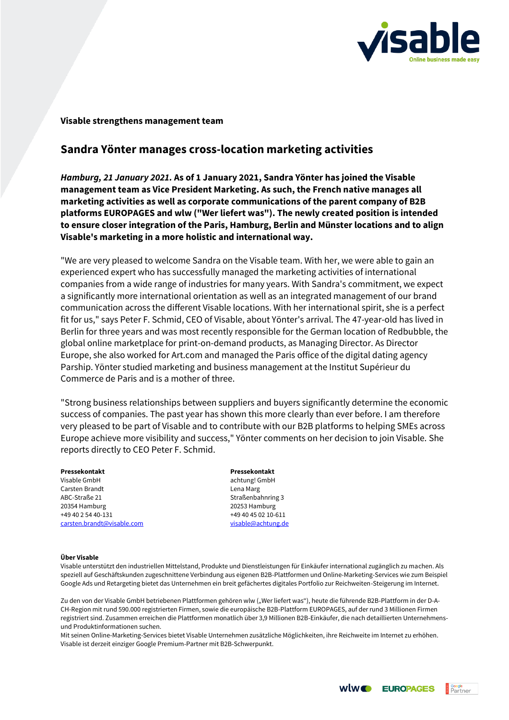

## **Visable strengthens management team**

## **Sandra Yönter manages cross-location marketing activities**

*Hamburg, 21 January 2021.* **As of 1 January 2021, Sandra Yönter has joined the Visable management team as Vice President Marketing. As such, the French native manages all marketing activities as well as corporate communications of the parent company of B2B platforms EUROPAGES and wlw ("Wer liefert was"). The newly created position is intended to ensure closer integration of the Paris, Hamburg, Berlin and Münster locations and to align Visable's marketing in a more holistic and international way.**

"We are very pleased to welcome Sandra on the Visable team. With her, we were able to gain an experienced expert who has successfully managed the marketing activities of international companies from a wide range of industries for many years. With Sandra's commitment, we expect a significantly more international orientation as well as an integrated management of our brand communication across the different Visable locations. With her international spirit, she is a perfect fit for us," says Peter F. Schmid, CEO of Visable, about Yönter's arrival. The 47-year-old has lived in Berlin for three years and was most recently responsible for the German location of Redbubble, the global online marketplace for print-on-demand products, as Managing Director. As Director Europe, she also worked for Art.com and managed the Paris office of the digital dating agency Parship. Yönter studied marketing and business management at the Institut Supérieur du Commerce de Paris and is a mother of three.

"Strong business relationships between suppliers and buyers significantly determine the economic success of companies. The past year has shown this more clearly than ever before. I am therefore very pleased to be part of Visable and to contribute with our B2B platforms to helping SMEs across Europe achieve more visibility and success," Yönter comments on her decision to join Visable. She reports directly to CEO Peter F. Schmid.

**Pressekontakt Pressekontakt** Visable GmbH achtung! GmbH Carsten Brandt **Lena Marg** ABC-Straße 21 Straßenbahnring 3 20354 Hamburg 20253 Hamburg +49 40 2 54 40-131 +49 40 45 02 10-611 [carsten.brandt@visable.com](mailto:carsten.brandt@visable.com) [visable@achtung.de](mailto:visable@achtung.de)

## **Über Visable**

Visable unterstützt den industriellen Mittelstand, Produkte und Dienstleistungen für Einkäufer international zugänglich zu machen. Als speziell auf Geschäftskunden zugeschnittene Verbindung aus eigenen B2B-Plattformen und Online-Marketing-Services wie zum Beispiel Google Ads und Retargeting bietet das Unternehmen ein breit gefächertes digitales Portfolio zur Reichweiten-Steigerung im Internet.

Zu den von der Visable GmbH betriebenen Plattformen gehören wlw ("Wer liefert was"), heute die führende B2B-Plattform in der D-A-CH-Region mit rund 590.000 registrierten Firmen, sowie die europäische B2B-Plattform EUROPAGES, auf der rund 3 Millionen Firmen registriert sind. Zusammen erreichen die Plattformen monatlich über 3,9 Millionen B2B-Einkäufer, die nach detaillierten Unternehmensund Produktinformationen suchen.

Mit seinen Online-Marketing-Services bietet Visable Unternehmen zusätzliche Möglichkeiten, ihre Reichweite im Internet zu erhöhen. Visable ist derzeit einziger Google Premium-Partner mit B2B-Schwerpunkt.

**WWC EUROPAGES B** Partner